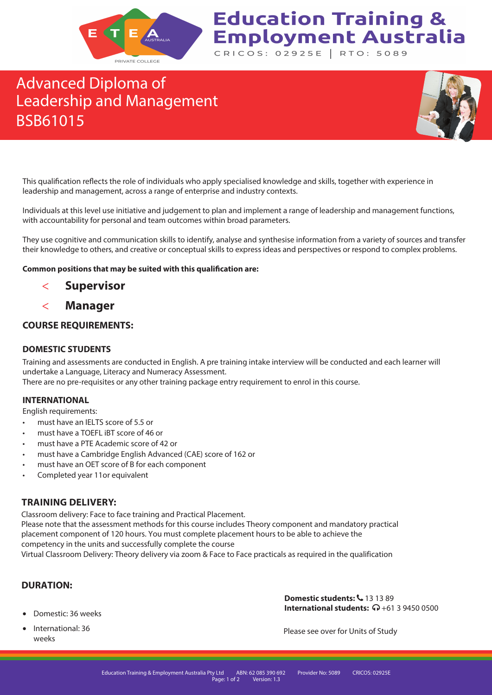

## **Education Training & Employment Australia** CRICOS: 02925E | RTO: 5089

## Advanced Diploma of Leadership and Management BSB61015



This qualification reflects the role of individuals who apply specialised knowledge and skills, together with experience in leadership and management, across a range of enterprise and industry contexts.

Individuals at this level use initiative and judgement to plan and implement a range of leadership and management functions, with accountability for personal and team outcomes within broad parameters.

They use cognitive and communication skills to identify, analyse and synthesise information from a variety of sources and transfer their knowledge to others, and creative or conceptual skills to express ideas and perspectives or respond to complex problems.

#### **Common positions that may be suited with this qualification are:**

- **Supervisor**
- **Manager**

### **COURSE REQUIREMENTS:**

### **DOMESTIC STUDENTS**

Training and assessments are conducted in English. A pre training intake interview will be conducted and each learner will undertake a Language, Literacy and Numeracy Assessment.

There are no pre-requisites or any other training package entry requirement to enrol in this course.

#### **INTERNATIONAL**

English requirements:

- must have an IELTS score of 5.5 or
- must have a TOEFL iBT score of 46 or
- must have a PTE Academic score of 42 or
- must have a Cambridge English Advanced (CAE) score of 162 or
- must have an OET score of B for each component
- Completed year 11or equivalent

## **TRAINING DELIVERY:**

Classroom delivery: Face to face training and Practical Placement.

Please note that the assessment methods for this course includes Theory component and mandatory practical placement component of 120 hours. You must complete placement hours to be able to achieve the competency in the units and successfully complete the course Virtual Classroom Delivery: Theory delivery via zoom & Face to Face practicals as required in the qualification

### **DURATION:**

- Domestic: 36 weeks
- International: 36 weeks

**Domestic students:**  $6$  **13 13 89 International students:**  $\Omega$  +61 3 9450 0500

Please see over for Units of Study